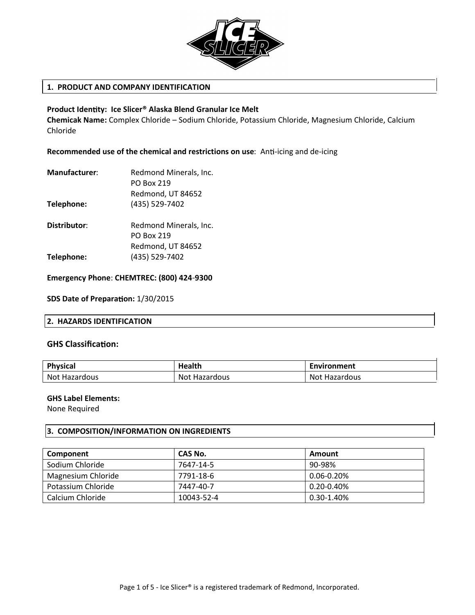

# **1. PRODUCT AND COMPANY IDENTIFICATION**

## **Product Identity: Ice Slicer® Alaska Blend Granular Ice Melt**

**Chemicak Name:** Complex Chloride – Sodium Chloride, Potassium Chloride, Magnesium Chloride, Calcium Chloride

**Recommended use of the chemical and restrictions on use:** Anti-icing and de-icing

| <b>Manufacturer:</b> | Redmond Minerals, Inc. |  |
|----------------------|------------------------|--|
|                      | <b>PO Box 219</b>      |  |
|                      | Redmond, UT 84652      |  |
| Telephone:           | (435) 529-7402         |  |
|                      |                        |  |

**Distributor:** Redmond Minerals, Inc. PO Box 219 Redmond, UT 84652 **Telephone:** (435) 529-7402

**Emergency Phone**: **CHEMTREC: (800) 424-9300**

**SDS Date of Preparation:**  $1/30/2015$ 

### **2. HAZARDS IDENTIFICATION**

### **GHS Classifica on:**

| Physical             | Health        | Environment   |
|----------------------|---------------|---------------|
| <b>Not Hazardous</b> | Not Hazardous | Not Hazardous |

### **GHS Label Elements:**

None Required

# **3. COMPOSITION/INFORMATION ON INGREDIENTS**

| Component          | CAS No.    | Amount          |
|--------------------|------------|-----------------|
| Sodium Chloride    | 7647-14-5  | 90-98%          |
| Magnesium Chloride | 7791-18-6  | $0.06 - 0.20\%$ |
| Potassium Chloride | 7447-40-7  | 0.20-0.40%      |
| Calcium Chloride   | 10043-52-4 | 0.30-1.40%      |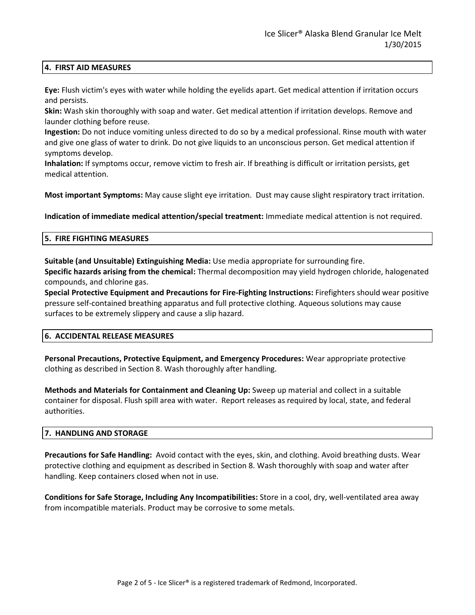# **4. FIRST AID MEASURES**

**Eye:** Flush victim's eyes with water while holding the eyelids apart. Get medical attention if irritation occurs and persists.

**Skin:** Wash skin thoroughly with soap and water. Get medical attention if irritation develops. Remove and launder clothing before reuse.

**Ingestion:** Do not induce vomiting unless directed to do so by a medical professional. Rinse mouth with water and give one glass of water to drink. Do not give liquids to an unconscious person. Get medical attention if symptoms develop.

**Inhalation:** If symptoms occur, remove victim to fresh air. If breathing is difficult or irritation persists, get medical attention.

**Most important Symptoms:** May cause slight eye irritation. Dust may cause slight respiratory tract irritation.

**Indication of immediate medical attention/special treatment:** Immediate medical attention is not required.

### **5. FIRE FIGHTING MEASURES**

**Suitable (and Unsuitable) Extinguishing Media:** Use media appropriate for surrounding fire. **Specific hazards arising from the chemical:** Thermal decomposition may yield hydrogen chloride, halogenated compounds, and chlorine gas.

**Special Protective Equipment and Precautions for Fire-Fighting Instructions:** Firefighters should wear positive pressure self-contained breathing apparatus and full protective clothing. Aqueous solutions may cause surfaces to be extremely slippery and cause a slip hazard.

### **6. ACCIDENTAL RELEASE MEASURES**

**Personal Precautions, Protective Equipment, and Emergency Procedures:** Wear appropriate protective clothing as described in Section 8. Wash thoroughly after handling.

**Methods and Materials for Containment and Cleaning Up:** Sweep up material and collect in a suitable container for disposal. Flush spill area with water. Report releases as required by local, state, and federal authorities.

# **7. HANDLING AND STORAGE**

**Precautions for Safe Handling:** Avoid contact with the eyes, skin, and clothing. Avoid breathing dusts. Wear protective clothing and equipment as described in Section 8. Wash thoroughly with soap and water after handling. Keep containers closed when not in use.

**Conditions for Safe Storage, Including Any Incompatibilities:** Store in a cool, dry, well-ventilated area away from incompatible materials. Product may be corrosive to some metals.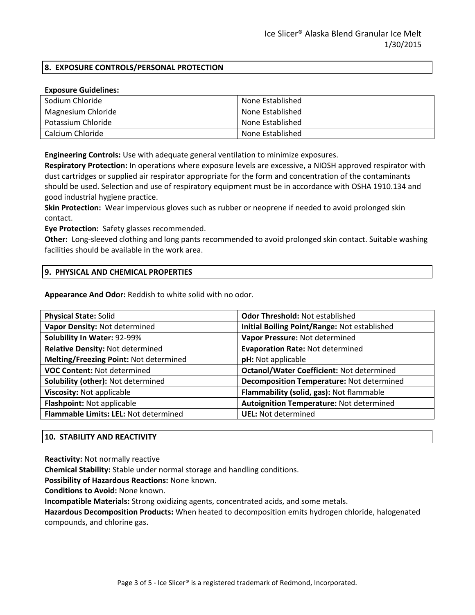# **8. EXPOSURE CONTROLS/PERSONAL PROTECTION**

### **Exposure Guidelines:**

| Sodium Chloride    | None Established |
|--------------------|------------------|
| Magnesium Chloride | None Established |
| Potassium Chloride | None Established |
| Calcium Chloride   | None Established |

**Engineering Controls:** Use with adequate general ventilation to minimize exposures.

**Respiratory Protection:** In operations where exposure levels are excessive, a NIOSH approved respirator with dust cartridges or supplied air respirator appropriate for the form and concentration of the contaminants should be used. Selection and use of respiratory equipment must be in accordance with OSHA 1910.134 and good industrial hygiene practice.

**Skin Protection:** Wear impervious gloves such as rubber or neoprene if needed to avoid prolonged skin contact.

**Eye Protection:** Safety glasses recommended.

**Other:** Long-sleeved clothing and long pants recommended to avoid prolonged skin contact. Suitable washing facilities should be available in the work area.

### **9. PHYSICAL AND CHEMICAL PROPERTIES**

**Appearance And Odor:** Reddish to white solid with no odor.

| <b>Physical State: Solid</b>           | <b>Odor Threshold: Not established</b>           |  |
|----------------------------------------|--------------------------------------------------|--|
| Vapor Density: Not determined          | Initial Boiling Point/Range: Not established     |  |
| Solubility In Water: 92-99%            | Vapor Pressure: Not determined                   |  |
| Relative Density: Not determined       | <b>Evaporation Rate: Not determined</b>          |  |
| Melting/Freezing Point: Not determined | pH: Not applicable                               |  |
| <b>VOC Content: Not determined</b>     | <b>Octanol/Water Coefficient: Not determined</b> |  |
| Solubility (other): Not determined     | Decomposition Temperature: Not determined        |  |
| Viscosity: Not applicable              | Flammability (solid, gas): Not flammable         |  |
| Flashpoint: Not applicable             | Autoignition Temperature: Not determined         |  |
| Flammable Limits: LEL: Not determined  | <b>UEL: Not determined</b>                       |  |
|                                        |                                                  |  |

# **10. STABILITY AND REACTIVITY**

**Reactivity:** Not normally reactive

**Chemical Stability:** Stable under normal storage and handling conditions.

**Possibility of Hazardous Reactions:** None known.

**Conditions to Avoid:** None known.

**Incompatible Materials:** Strong oxidizing agents, concentrated acids, and some metals.

**Hazardous Decomposition Products:** When heated to decomposition emits hydrogen chloride, halogenated compounds, and chlorine gas.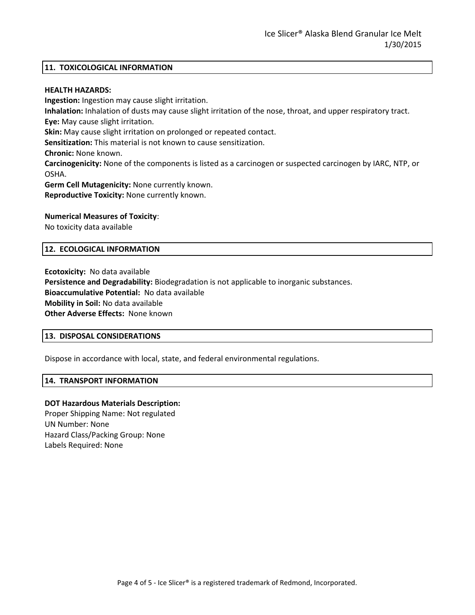### **11. TOXICOLOGICAL INFORMATION**

#### **HEALTH HAZARDS:**

**Ingestion:** Ingestion may cause slight irritation. **Inhalation:** Inhalation of dusts may cause slight irritation of the nose, throat, and upper respiratory tract. **Eye:** May cause slight irritation. **Skin:** May cause slight irritation on prolonged or repeated contact. **Sensitization:** This material is not known to cause sensitization. **Chronic:** None known. **Carcinogenicity:** None of the components is listed as a carcinogen or suspected carcinogen by IARC, NTP, or OSHA. **Germ Cell Mutagenicity:** None currently known. **Reproductive Toxicity:** None currently known.

#### **Numerical Measures of Toxicity**:

No toxicity data available

#### **12. ECOLOGICAL INFORMATION**

**Ecotoxicity:** No data available **Persistence and Degradability:** Biodegradation is not applicable to inorganic substances. **Bioaccumulative Potential:** No data available **Mobility in Soil:** No data available **Other Adverse Effects:** None known

#### **13. DISPOSAL CONSIDERATIONS**

Dispose in accordance with local, state, and federal environmental regulations.

#### **14. TRANSPORT INFORMATION**

### **DOT Hazardous Materials Description:**

Proper Shipping Name: Not regulated UN Number: None Hazard Class/Packing Group: None Labels Required: None